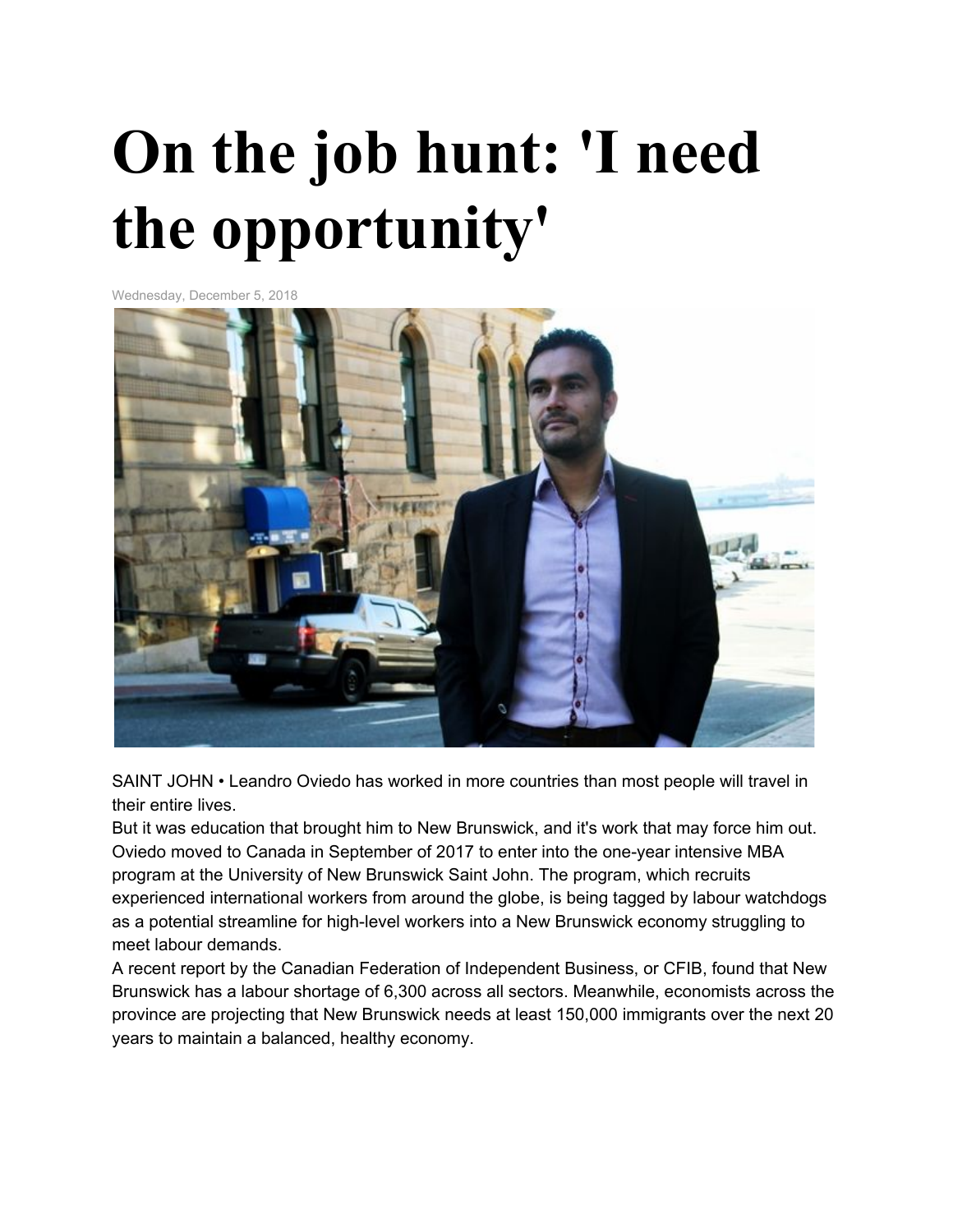## **On the job hunt: 'I need the opportunity'**

Wednesday, December 5, 2018



SAINT JOHN • Leandro Oviedo has worked in more countries than most people will travel in their entire lives.

But it was education that brought him to New Brunswick, and it's work that may force him out. Oviedo moved to Canada in September of 2017 to enter into the one-year intensive MBA program at the University of New Brunswick Saint John. The program, which recruits experienced international workers from around the globe, is being tagged by labour watchdogs as a potential streamline for high-level workers into a New Brunswick economy struggling to meet labour demands.

A recent report by the Canadian Federation of Independent Business, or CFIB, found that New Brunswick has a labour shortage of 6,300 across all sectors. Meanwhile, economists across the province are projecting that New Brunswick needs at least 150,000 immigrants over the next 20 years to maintain a balanced, healthy economy.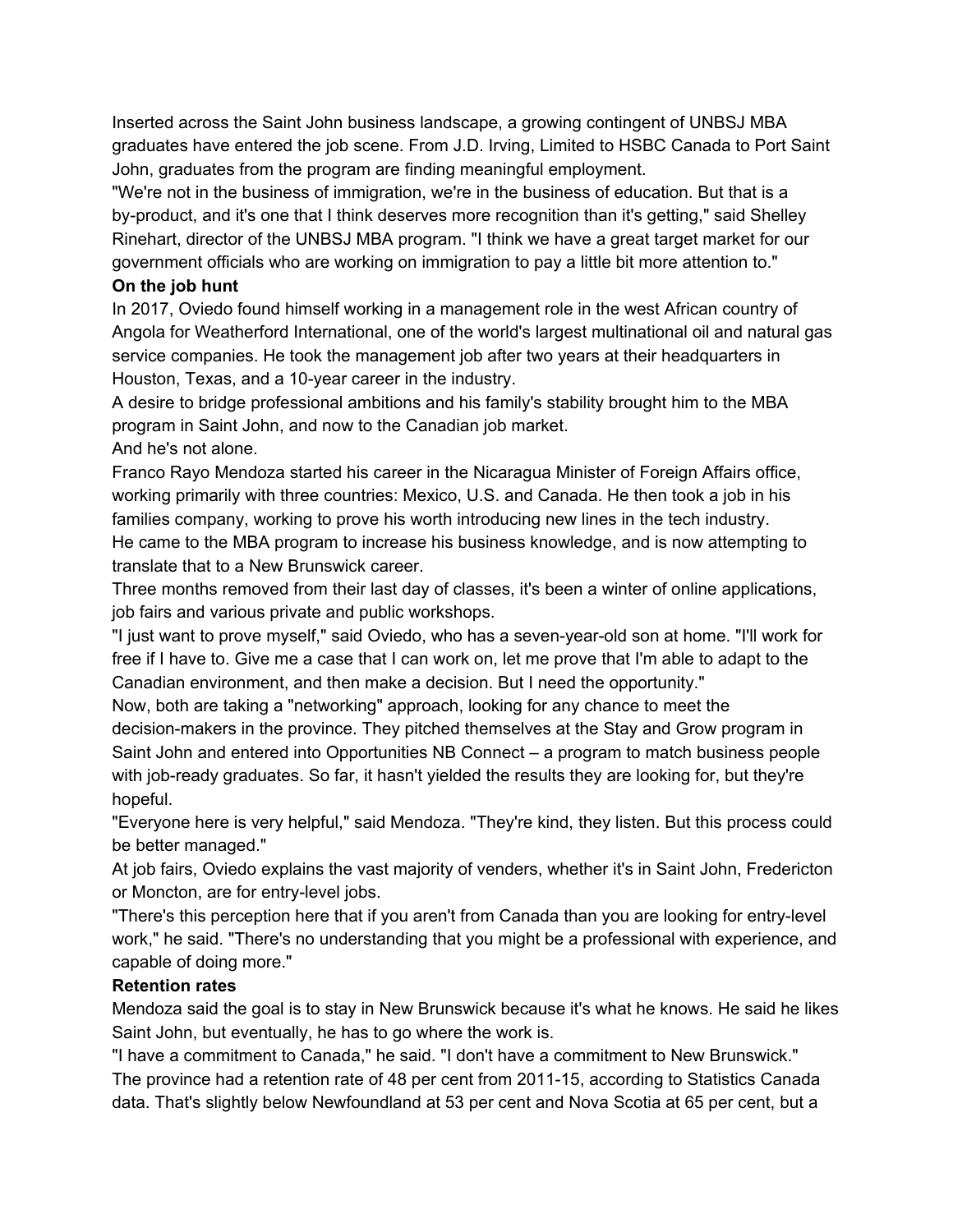Inserted across the Saint John business landscape, a growing contingent of UNBSJ MBA graduates have entered the job scene. From J.D. Irving, Limited to HSBC Canada to Port Saint John, graduates from the program are finding meaningful employment.

"We're not in the business of immigration, we're in the business of education. But that is a by-product, and it's one that I think deserves more recognition than it's getting," said Shelley Rinehart, director of the UNBSJ MBA program. "I think we have a great target market for our government officials who are working on immigration to pay a little bit more attention to."

## **On the job hunt**

In 2017, Oviedo found himself working in a management role in the west African country of Angola for Weatherford International, one of the world's largest multinational oil and natural gas service companies. He took the management job after two years at their headquarters in Houston, Texas, and a 10-year career in the industry.

A desire to bridge professional ambitions and his family's stability brought him to the MBA program in Saint John, and now to the Canadian job market.

And he's not alone.

Franco Rayo Mendoza started his career in the Nicaragua Minister of Foreign Affairs office, working primarily with three countries: Mexico, U.S. and Canada. He then took a job in his families company, working to prove his worth introducing new lines in the tech industry. He came to the MBA program to increase his business knowledge, and is now attempting to translate that to a New Brunswick career.

Three months removed from their last day of classes, it's been a winter of online applications, job fairs and various private and public workshops.

"I just want to prove myself," said Oviedo, who has a seven-year-old son at home. "I'll work for free if I have to. Give me a case that I can work on, let me prove that I'm able to adapt to the Canadian environment, and then make a decision. But I need the opportunity."

Now, both are taking a "networking" approach, looking for any chance to meet the decision-makers in the province. They pitched themselves at the Stay and Grow program in Saint John and entered into Opportunities NB Connect – a program to match business people with job-ready graduates. So far, it hasn't yielded the results they are looking for, but they're hopeful.

"Everyone here is very helpful," said Mendoza. "They're kind, they listen. But this process could be better managed."

At job fairs, Oviedo explains the vast majority of venders, whether it's in Saint John, Fredericton or Moncton, are for entry-level jobs.

"There's this perception here that if you aren't from Canada than you are looking for entry-level work," he said. "There's no understanding that you might be a professional with experience, and capable of doing more."

## **Retention rates**

Mendoza said the goal is to stay in New Brunswick because it's what he knows. He said he likes Saint John, but eventually, he has to go where the work is.

"I have a commitment to Canada," he said. "I don't have a commitment to New Brunswick." The province had a retention rate of 48 per cent from 2011-15, according to Statistics Canada data. That's slightly below Newfoundland at 53 per cent and Nova Scotia at 65 per cent, but a